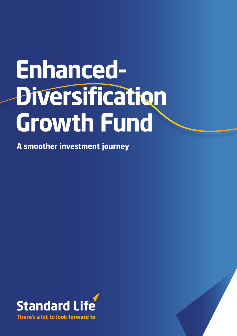# **Enhanced-Diversification Growth Fund**

**A smoother investment journey**



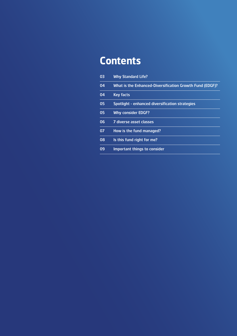# **Contents**

| 03 | <b>Why Standard Life?</b>                                |
|----|----------------------------------------------------------|
| 04 | What is the Enhanced-Diversification Growth Fund (EDGF)? |
| 04 | <b>Key facts</b>                                         |
| 05 | Spotlight - enhanced diversification strategies          |
| 05 | <b>Why consider EDGF?</b>                                |
| 06 | 7 diverse asset classes                                  |
| 07 | How is the fund managed?                                 |
| 08 | Is this fund right for me?                               |
| 09 | Important things to consider                             |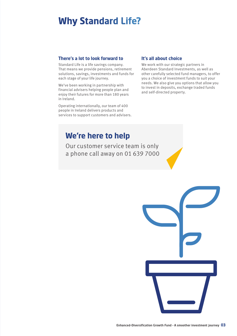# **Why Standard Life?**

#### **There's a lot to look forward to**

Standard Life is a life savings company. That means we provide pensions, retirement solutions, savings, investments and funds for each stage of your life journey.

We've been working in partnership with financial advisers helping people plan and enjoy their futures for more than 180 years in Ireland.

Operating internationally, our team of 400 people in Ireland delivers products and services to support customers and advisers.

#### **It's all about choice**

We work with our strategic partners in Aberdeen Standard Investments, as well as other carefully selected fund managers, to offer you a choice of investment funds to suit your needs. We also give you options that allow you to invest in deposits, exchange traded funds and self-directed property.

### **We're here to help**

Our customer service team is only a phone call away on 01 639 7000

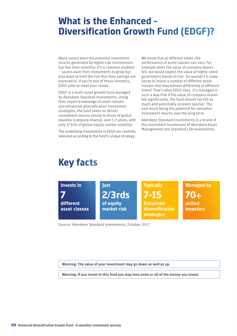# **What is the Enhanced – Diversification Growth Fund (EDGF)?**

Many savers want the potential investment returns generated by higher risk investments but fear their volatility. It's a common problem – savers want their investments to grow but also want to limit the risk that their savings are exposed to. If you're one of these investors, EDGF aims to meet your needs.

EDGF is a multi-asset growth fund managed by Aberdeen Standard Investments. Using their expert knowledge of asset classes and enhanced-diversification investment strategies, the fund seeks to deliver investment returns similar to those of global equities (company shares), over 5-7 years, with only 2/3rds of global equity market volatility.

The underlying investments in EDGF are carefully selected according to the fund's unique strategy.

We know that at different times, the performance of asset classes can vary. For example when the value of company shares fall, we would expect the value of highly-rated government bonds to rise. So wouldn't it make sense to invest a number of different asset classes that may behave differently at different times? That's what EDGF does. It's managed in such a way that if the value of company shares fall significantly, the fund should not fall as much and potentially recovers quicker. The end result being the potential for smoother investment returns over the long term.

Aberdeen Standard Investments is a brand of the investment businesses of Aberdeen Asset Management and Standard Life Investments.

# **Key facts**



Source: Aberdeen Standard Investments, October 2017

**Warning: The value of your investment may go down as well as up.**

**Warning: If you invest in this fund you may lose some or all of the money you invest.**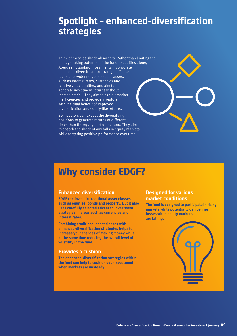# **Spotlight – enhanced-diversification strategies**

Think of these as shock absorbers. Rather than limiting the money-making potential of the fund to equities alone, Aberdeen Standard Investments incorporate enhanced-diversification strategies. These focus on a wider range of asset classes, such as interest rates, currencies and relative value equities, and aim to generate investment returns without increasing risk. They aim to exploit market inefficiencies and provide investors with the dual benefit of improved diversification and equity-like returns.

So investors can expect the diversifying positions to generate returns at different times than the equity part of the fund. They aim to absorb the shock of any falls in equity markets while targeting positive performance over time.

# **Why consider EDGF?**

#### **Enhanced diversification**

**EDGF can invest in traditional asset classes such as equities, bonds and property. But it also uses carefully selected advanced investment strategies in areas such as currencies and interest rates.** 

**Combining traditional asset classes with enhanced-diversification strategies helps to increase your chances of making money while at the same time reducing the overall level of volatility in the fund.**

#### **Provides a cushion**

**The enhanced-diversification strategies within the fund can help to cushion your investment when markets are unsteady.**

#### **Designed for various market conditions**

**The fund is designed to participate in rising markets while potentially dampening losses when equity markets are falling.**

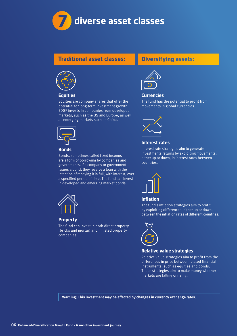

#### **Traditional asset classes:**



#### **Equities**

Equities are company shares that offer the potential for long-term investment growth. EDGF invests in companies from developed markets, such as the US and Europe, as well as emerging markets such as China.



#### **Bonds**

Bonds, sometimes called fixed income, are a form of borrowing by companies and governments. If a company or government issues a bond, they receive a loan with the intention of repaying it in full, with interest, over a specified period of time. The fund can invest in developed and emerging market bonds.



#### **Property**

The fund can invest in both direct property (bricks and mortar) and in listed property companies.

#### **Diversifying assets:**



#### **Currencies**

The fund has the potential to profit from movements in global currencies.



#### **Interest rates**

Interest rate strategies aim to generate investments returns by exploiting movements, either up or down, in interest rates between countries.



#### **Inflation**

The fund's inflation strategies aim to profit by exploiting differences, either up or down, between the inflation rates of different countries.



#### **Relative value strategies**

Relative value strategies aim to profit from the differences in price between related financial instruments, such as equities and bonds. These strategies aim to make money whether markets are falling or rising.

**Warning: This investment may be affected by changes in currency exchange rates.**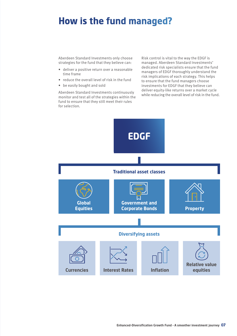# **How is the fund managed?**

Aberdeen Standard Investments only choose strategies for the fund that they believe can:

- deliver a positive return over a reasonable time frame
- reduce the overall level of risk in the fund
- be easily bought and sold

Aberdeen Standard Investments continuously monitor and test all of the strategies within the fund to ensure that they still meet their rules for selection.

Risk control is vital to the way the EDGF is managed. Aberdeen Standard Investments' dedicated risk specialists ensure that the fund managers of EDGF thoroughly understand the risk implications of each strategy. This helps to ensure that the fund managers choose investments for EDGF that they believe can deliver equity-like returns over a market cycle while reducing the overall level of risk in the fund.

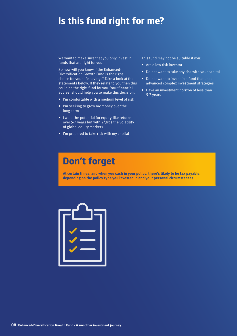# **Is this fund right for me?**

We want to make sure that you only invest in funds that are right for you.

So how will you know if the Enhanced-Diversification Growth Fund is the right choice for your life savings? Take a look at the statements below. If they relate to you then this could be the right fund for you. Your financial adviser should help you to make this decision.

- I'm comfortable with a medium level of risk
- I'm seeking to grow my money over the long-term
- I want the potential for equity-like returns over 5-7 years but with 2/3rds the volatility of global equity markets
- I'm prepared to take risk with my capital

#### This fund may not be suitable if you:

- Are a low risk investor
- Do not want to take any risk with your capital
- Do not want to invest in a fund that uses advanced complex investment strategies
- Have an investment horizon of less than 5-7 years

# **Don't forget**

**At certain times, and when you cash in your policy, there's likely to be tax payable, depending on the policy type you invested in and your personal circumstances.**

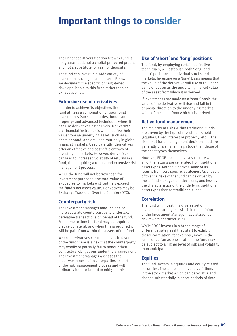# **Important things to consider**

The Enhanced-Diversification Growth Fund is not guaranteed, not a capital protected product and not a substitute for cash or deposits.

The fund can invest in a wide variety of investment strategies and assets. Below we document the specific or heightened risks applicable to this fund rather than an exhaustive list.

#### **Extensive use of derivatives**

In order to achieve its objectives the fund utilises a combination of traditional investments (such as equities, bonds and property) and advanced techniques where it can use derivatives extensively. Derivatives are financial instruments which derive their value from an underlying asset, such as a share or bond, and are used routinely in global financial markets. Used carefully, derivatives offer an effective and cost-efficient way of investing in markets. However, derivatives can lead to increased volatility of returns in a fund, thus requiring a robust and extensive risk management process.

While the fund will not borrow cash for investment purposes, the total value of exposures to markets will routinely exceed the fund's net asset value. Derivatives may be Exchange Traded or Over the Counter (OTC).

#### **Counterparty risk**

The Investment Manager may use one or more separate counterparties to undertake derivative transactions on behalf of the fund. From time to time the fund may be required to pledge collateral, and when this is required it will be paid from within the assets of the fund.

When a derivatives contract moves in favour of the fund there is a risk that the counterparty may wholly or partially fail to honour their contractual obligations under the arrangement. The Investment Manager assesses the creditworthiness of counterparties as part of the risk management process and will ordinarily hold collateral to mitigate this.

#### **Use of 'short' and 'long' positions**

The fund, by employing certain derivative techniques, will establish both 'long' and 'short' positions in individual stocks and markets. Investing on a 'long' basis means that the value of the derivative will rise or fall in the same direction as the underlying market value of the asset from which it is derived.

If investments are made on a 'short' basis the value of the derivative will rise and fall in the opposite direction to the underlying market value of the asset from which it is derived.

#### **Active fund management**

The majority of risks within traditional funds are driven by the type of investments held (equities, fixed interest or property, etc.). The risks that fund management decisions add are generally of a smaller magnitude than those of the asset types themselves.

However, EDGF doesn't have a structure where all of the returns are generated from traditional asset types. Rather, it derives some of its returns from very specific strategies. As a result of this the risks of the fund can be driven by these fund management decisions, and less by the characteristics of the underlying traditional asset types than for traditional funds.

#### **Correlation**

The fund will invest in a diverse set of investment strategies, which in the opinion of the Investment Manager have attractive risk reward characteristics.

While EDGF invests in a broad range of different strategies if they start to exhibit closer correlation, for example, move in the same direction as one another, the fund may be subject to a higher level of risk and volatility than anticipated.

#### **Equities**

The fund invests in equities and equity related securities. These are sensitive to variations in the stock market which can be volatile and change substantially in short periods of time.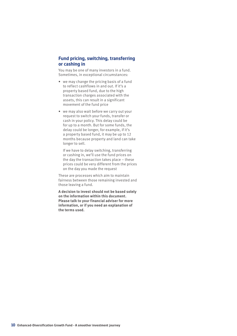#### **Fund pricing, switching, transferring or cashing in**

You may be one of many investors in a fund. Sometimes, in exceptional circumstances:

- we may change the pricing basis of a fund to reflect cashflows in and out. If it's a property based fund, due to the high transaction charges associated with the assets, this can result in a significant movement of the fund price
- we may also wait before we carry out your request to switch your funds, transfer or cash in your policy. This delay could be for up to a month. But for some funds, the delay could be longer, for example, if it's a property based fund, it may be up to 12 months because property and land can take longer to sell.

If we have to delay switching, transferring or cashing in, we'll use the fund prices on the day the transaction takes place – these prices could be very different from the prices on the day you made the request

These are processes which aim to maintain fairness between those remaining invested and those leaving a fund.

**A decision to invest should not be based solely on the information within this document. Please talk to your financial adviser for more information, or if you need an explanation of the terms used.**